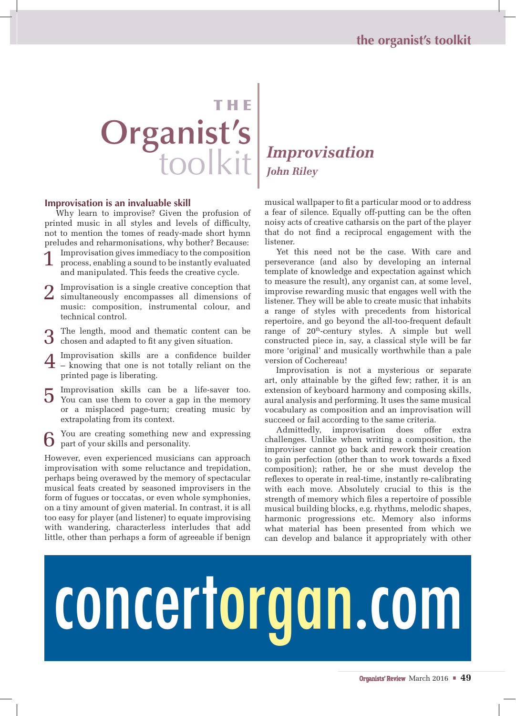# THE **Organist's** toolkit

#### **Improvisation is an invaluable skill**

Why learn to improvise? Given the profusion of printed music in all styles and levels of difficulty, not to mention the tomes of ready-made short hymn preludes and reharmonisations, why bother? Because:

- 1 Improvisation gives immediacy to the composition process, enabling a sound to be instantly evaluated and manipulated. This feeds the creative cycle.
- 2 Improvisation is a single creative conception that simultaneously encompasses all dimensions of music: composition, instrumental colour, and technical control.
- The length, mood and thematic content can be chosen and adapted to fit any given situation.
- 4 Improvisation skills are a confidence builder knowing that one is not totally reliant on the printed page is liberating.
- 5 Improvisation skills can be a life-saver too. You can use them to cover a gap in the memory or a misplaced page-turn; creating music by extrapolating from its context.

You are creating something new and expressing part of your skills and personality.

However, even experienced musicians can approach improvisation with some reluctance and trepidation, perhaps being overawed by the memory of spectacular musical feats created by seasoned improvisers in the form of fugues or toccatas, or even whole symphonies, on a tiny amount of given material. In contrast, it is all too easy for player (and listener) to equate improvising with wandering, characterless interludes that add little, other than perhaps a form of agreeable if benign

## *Improvisation John Riley*

musical wallpaper to fit a particular mood or to address a fear of silence. Equally off-putting can be the often noisy acts of creative catharsis on the part of the player that do not find a reciprocal engagement with the listener.

Yet this need not be the case. With care and perseverance (and also by developing an internal template of knowledge and expectation against which to measure the result), any organist can, at some level, improvise rewarding music that engages well with the listener. They will be able to create music that inhabits a range of styles with precedents from historical repertoire, and go beyond the all-too-frequent default range of 20th-century styles. A simple but well constructed piece in, say, a classical style will be far more 'original' and musically worthwhile than a pale version of Cochereau!

Improvisation is not a mysterious or separate art, only attainable by the gifted few; rather, it is an extension of keyboard harmony and composing skills, aural analysis and performing. It uses the same musical vocabulary as composition and an improvisation will succeed or fail according to the same criteria.

Admittedly, improvisation does offer extra challenges. Unlike when writing a composition, the improviser cannot go back and rework their creation to gain perfection (other than to work towards a fixed composition); rather, he or she must develop the reflexes to operate in real-time, instantly re-calibrating with each move. Absolutely crucial to this is the strength of memory which files a repertoire of possible musical building blocks, e.g. rhythms, melodic shapes, harmonic progressions etc. Memory also informs what material has been presented from which we can develop and balance it appropriately with other

# concertorgan.com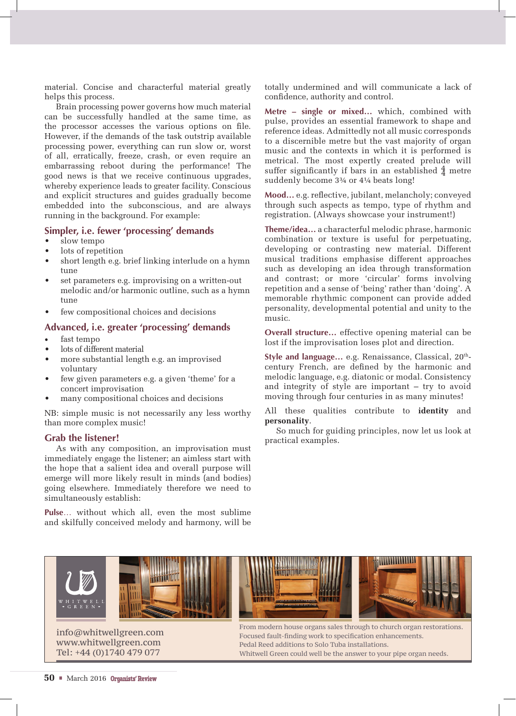material. Concise and characterful material greatly helps this process.

Brain processing power governs how much material can be successfully handled at the same time, as the processor accesses the various options on file. However, if the demands of the task outstrip available processing power, everything can run slow or, worst of all, erratically, freeze, crash, or even require an embarrassing reboot during the performance! The good news is that we receive continuous upgrades, whereby experience leads to greater facility. Conscious and explicit structures and guides gradually become embedded into the subconscious, and are always running in the background. For example:

#### **Simpler, i.e. fewer 'processing' demands**

• slow tempo

- lots of repetition
- short length e.g. brief linking interlude on a hymn tune
- set parameters e.g. improvising on a written-out melodic and/or harmonic outline, such as a hymn tune
- few compositional choices and decisions

#### **Advanced, i.e. greater 'processing' demands**

- fast tempo
- lots of different material
- more substantial length e.g. an improvised voluntary
- few given parameters e.g. a given 'theme' for a concert improvisation
- many compositional choices and decisions

NB: simple music is not necessarily any less worthy than more complex music!

#### **Grab the listener!**

As with any composition, an improvisation must immediately engage the listener; an aimless start with the hope that a salient idea and overall purpose will emerge will more likely result in minds (and bodies) going elsewhere. Immediately therefore we need to simultaneously establish:

**Pulse**… without which all, even the most sublime and skilfully conceived melody and harmony, will be

totally undermined and will communicate a lack of confidence, authority and control.

**Metre – single or mixed…** which, combined with pulse, provides an essential framework to shape and reference ideas. Admittedly not all music corresponds to a discernible metre but the vast majority of organ music and the contexts in which it is performed is metrical. The most expertly created prelude will suffer significantly if bars in an established  $\frac{4}{4}$  metre suddenly become 3¾ or 4¼ beats long!

**Mood…** e.g. reflective, jubilant, melancholy; conveyed through such aspects as tempo, type of rhythm and registration. (Always showcase your instrument!)

**Theme/idea…** a characterful melodic phrase, harmonic combination or texture is useful for perpetuating, developing or contrasting new material. Different musical traditions emphasise different approaches such as developing an idea through transformation and contrast; or more 'circular' forms involving repetition and a sense of 'being' rather than 'doing'. A memorable rhythmic component can provide added personality, developmental potential and unity to the music.

**Overall structure…** effective opening material can be lost if the improvisation loses plot and direction.

Style and language... e.g. Renaissance, Classical, 20<sup>th</sup>century French, are defined by the harmonic and melodic language, e.g. diatonic or modal. Consistency and integrity of style are important – try to avoid moving through four centuries in as many minutes!

All these qualities contribute to **identity** and **personality**.

So much for guiding principles, now let us look at practical examples.



info@whitwellgreen.com www.whitwellgreen.com Tel: +44 (0)1740 479 077

From modern house organs sales through to church organ restorations. Focused fault-finding work to specification enhancements. Pedal Reed additions to Solo Tuba installations. Whitwell Green could well be the answer to your pipe organ needs.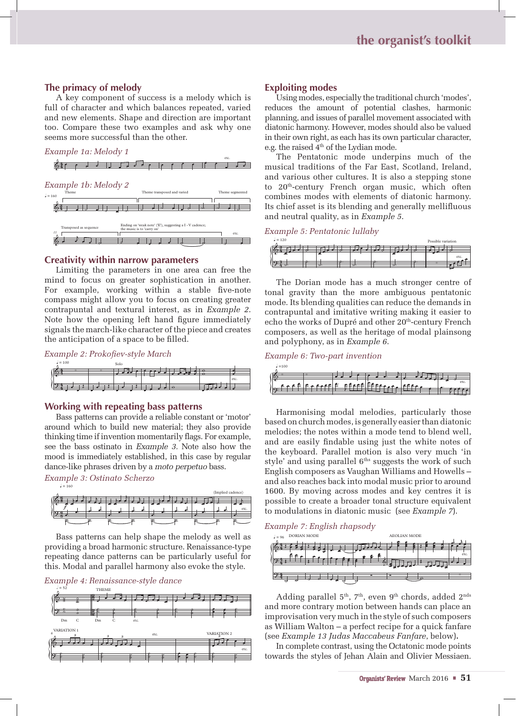#### **The primacy of melody**

A key component of success is a melody which is full of character and which balances repeated, varied and new elements. Shape and direction are important too. Compare these two examples and ask why one seems more successful than the other.

#### *Example 1a: Melody 1*



#### **Creativity within narrow parameters**

Limiting the parameters in one area can free the mind to focus on greater sophistication in another. For example, working within a stable five-note compass might allow you to focus on creating greater contrapuntal and textural interest, as in *Example 2*. Note how the opening left hand figure immediately signals the march-like character of the piece and creates the anticipation of a space to be filled.

| Example 2: Prokofiev-style March |  |  |  |
|----------------------------------|--|--|--|
|                                  |  |  |  |

| $= 100$   | Solo |                 |   |        |
|-----------|------|-----------------|---|--------|
| $\bullet$ |      | <b>Exercise</b> | ਨ |        |
|           |      |                 |   | l etc. |
|           |      | T               |   |        |

#### **Working with repeating bass patterns**

Bass patterns can provide a reliable constant or 'motor' around which to build new material; they also provide thinking time if invention momentarily flags. For example, see the bass ostinato in *Example 3.* Note also how the mood is immediately established, in this case by regular dance-like phrases driven by a *moto perpetuo* bass.

 $l = 160$ *Example 3: Ostinato Scherzo*

|                 |   |      |  | (Implied cadence) |      |
|-----------------|---|------|--|-------------------|------|
| <b>RAT</b>      |   |      |  |                   |      |
|                 |   |      |  |                   |      |
| $\sqrt{2}$<br>- | Ŧ | <br> |  | ø.                | etc. |
|                 |   |      |  |                   |      |
|                 |   |      |  | ÷                 |      |

Bass patterns can help shape the melody as well as providing a broad harmonic structure. Renaissance-type repeating dance patterns can be particularly useful for this. Modal and parallel harmony also evoke the style.





#### **Exploiting modes**

Using modes, especially the traditional church 'modes', reduces the amount of potential clashes, harmonic planning, and issues of parallel movement associated with diatonic harmony. However, modes should also be valued in their own right, as each has its own particular character, e.g. the raised  $4<sup>th</sup>$  of the Lydian mode.

The Pentatonic mode underpins much of the musical traditions of the Far East, Scotland, Ireland, and various other cultures. It is also a stepping stone to 20<sup>th</sup>-century French organ music, which often combines modes with elements of diatonic harmony. Its chief asset is its blending and generally mellifluous and neutral quality, as in *Example 5*.

#### $l = 120$ *Example 5: Pentatonic lullaby*

| $= 120$ |                          |                          |                          |                          | Possible variation |      |
|---------|--------------------------|--------------------------|--------------------------|--------------------------|--------------------|------|
|         |                          |                          |                          |                          |                    |      |
|         |                          |                          |                          |                          |                    | etc. |
| 16311   | $\overline{\phantom{a}}$ | $\overline{\phantom{a}}$ | $\overline{\phantom{a}}$ | $\overline{\phantom{a}}$ |                    |      |

The Dorian mode has a much stronger centre of tonal gravity than the more ambiguous pentatonic mode. Its blending qualities can reduce the demands in contrapuntal and imitative writing making it easier to echo the works of Dupré and other 20<sup>th</sup>-century French composers, as well as the heritage of modal plainsong and polyphony, as in *Example 6*.

#### *Example 6: Two-part invention*



Harmonising modal melodies, particularly those based on church modes, is generally easier than diatonic melodies; the notes within a mode tend to blend well, and are easily findable using just the white notes of the keyboard. Parallel motion is also very much 'in style' and using parallel  $6<sup>ths</sup>$  suggests the work of such English composers as Vaughan Williams and Howells – and also reaches back into modal music prior to around 1600. By moving across modes and key centres it is possible to create a broader tonal structure equivalent to modulations in diatonic music (see *Example 7*).

#### *Example 7: English rhapsody*



Adding parallel  $5<sup>th</sup>$ ,  $7<sup>th</sup>$ , even  $9<sup>th</sup>$  chords, added  $2<sup>nds</sup>$ and more contrary motion between hands can place an improvisation very much in the style of such composers as William Walton – a perfect recipe for a quick fanfare (see *Example 13 Judas Maccabeus Fanfare*, below)**.**

In complete contrast, using the Octatonic mode points towards the styles of Jehan Alain and Olivier Messiaen.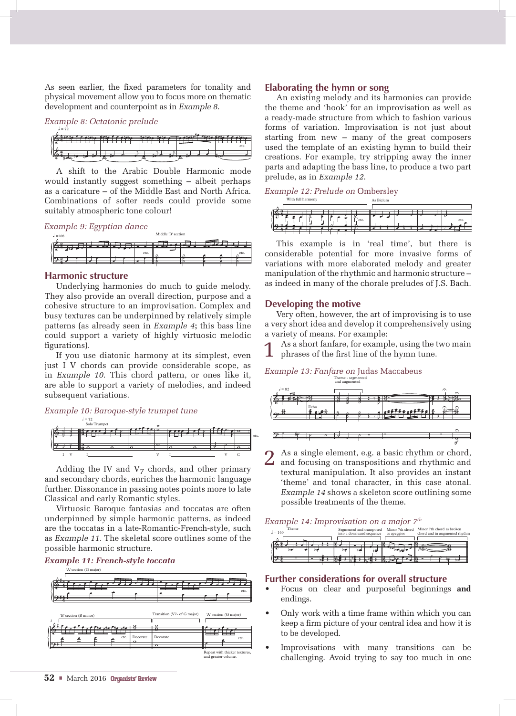As seen earlier, the fixed parameters for tonality and physical movement allow you to focus more on thematic development and counterpoint as in *Example 8*.

#### $l = 72$ *Example 8: Octatonic prelude*

|   | $\sim$ | ÷. | <b>The</b> |
|---|--------|----|------------|
|   |        |    |            |
|   |        |    | etc.       |
|   |        |    |            |
| ⊷ |        |    |            |

A shift to the Arabic Double Harmonic mode would instantly suggest something – albeit perhaps as a caricature – of the Middle East and North Africa. Combinations of softer reeds could provide some suitably atmospheric tone colour!

#### *Example 9: Egyptian dance*

| $=108$ |  |      | Middle B section |   |      |
|--------|--|------|------------------|---|------|
|        |  |      |                  |   |      |
|        |  |      |                  |   |      |
|        |  | etc. |                  |   | etc. |
|        |  |      | ÷                | ÷ |      |
|        |  |      |                  |   |      |
|        |  |      |                  |   |      |

Middle 'B' section

#### **Harmonic structure**

Underlying harmonies do much to guide melody. They also provide an overall direction, purpose and a cohesive structure to an improvisation. Complex and busy textures can be underpinned by relatively simple patterns (as already seen in *Example 4***;** this bass line could support a variety of highly virtuosic melodic figurations).

If you use diatonic harmony at its simplest, even just I V chords can provide considerable scope, as in *Example 10*. This chord pattern, or ones like it, are able to support a variety of melodies, and indeed subsequent variations.

#### *Example 10: Baroque-style trumpet tune*





Adding the IV and  $V<sub>7</sub>$  chords, and other primary and secondary chords, enriches the harmonic language further. Dissonance in passing notes points more to late Classical and early Romantic styles.

Virtuosic Baroque fantasias and toccatas are often underpinned by simple harmonic patterns, as indeed are the toccatas in a late-Romantic-French-style, such as *Example 11*. The skeletal score outlines some of the possible harmonic structure.



#### **Elaborating the hymn or song**

An existing melody and its harmonies can provide the theme and 'hook' for an improvisation as well as a ready-made structure from which to fashion various forms of variation. Improvisation is not just about starting from new – many of the great composers used the template of an existing hymn to build their creations. For example, try stripping away the inner parts and adapting the bass line, to produce a two part prelude, as in *Example 12*.

| Example 12: Prelude on Ombersley |           |  |
|----------------------------------|-----------|--|
| With full harmony                | As Bicium |  |

| etc.                     |  | etc. |
|--------------------------|--|------|
| $\overline{\phantom{a}}$ |  |      |

This example is in 'real time', but there is considerable potential for more invasive forms of variations with more elaborated melody and greater manipulation of the rhythmic and harmonic structure – as indeed in many of the chorale preludes of J.S. Bach.

#### **Developing the motive**

Very often, however, the art of improvising is to use a very short idea and develop it comprehensively using a variety of means. For example:

As a short fanfare, for example, using the two main phrases of the first line of the hymn tune.

#### *Example 13: Fanfare on* Judas Maccabeus



2 As a single element, e.g. a basic rhythm or chord, and focusing on transpositions and rhythmic and textural manipulation. It also provides an instant 'theme' and tonal character, in this case atonal. *Example 14* shows a skeleton score outlining some possible treatments of the theme.

#### *Example 14: Improvisation on a major 7th*



#### **Further considerations for overall structure**

- Focus on clear and purposeful beginnings **and**  endings.
- Only work with a time frame within which you can keep a firm picture of your central idea and how it is to be developed.
- Improvisations with many transitions can be challenging. Avoid trying to say too much in one